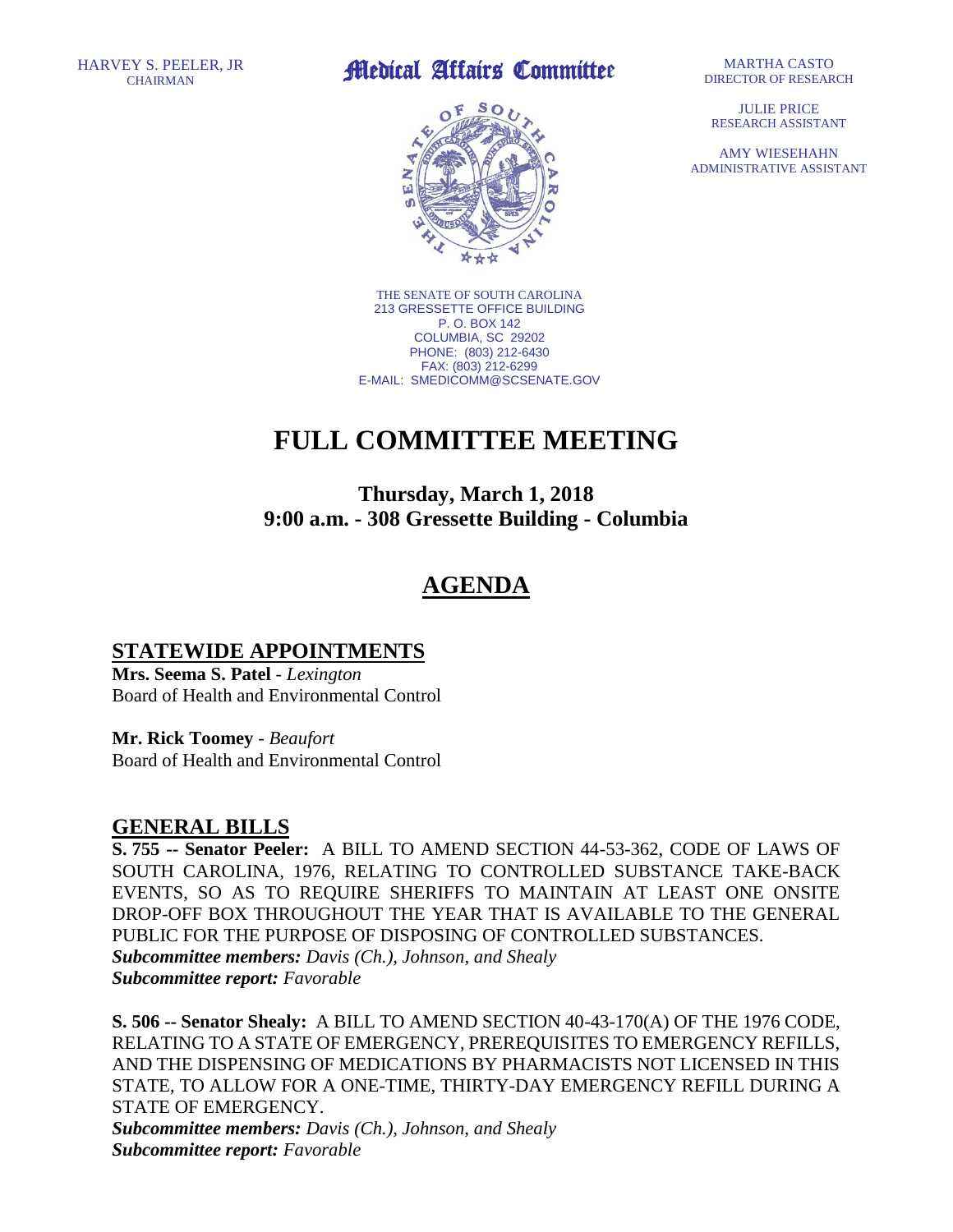## EY S. PEELER, JR **Alledical Affairs Committee**



THE SENATE OF SOUTH CAROLINA 213 GRESSETTE OFFICE BUILDING P. O. BOX 142 COLUMBIA, SC 29202 PHONE: (803) 212-6430 FAX: (803) 212-6299 E-MAIL: SMEDICOMM@SCSENATE.GOV

# **FULL COMMITTEE MEETING**

### **Thursday, March 1, 2018 9:00 a.m. - 308 Gressette Building - Columbia**

### **AGENDA**

#### **STATEWIDE APPOINTMENTS**

**Mrs. Seema S. Patel** - *Lexington* Board of Health and Environmental Control

**Mr. Rick Toomey** - *Beaufort* Board of Health and Environmental Control

#### **GENERAL BILLS**

**S. 755 -- Senator Peeler:** A BILL TO AMEND SECTION 44-53-362, CODE OF LAWS OF SOUTH CAROLINA, 1976, RELATING TO CONTROLLED SUBSTANCE TAKE-BACK EVENTS, SO AS TO REQUIRE SHERIFFS TO MAINTAIN AT LEAST ONE ONSITE DROP-OFF BOX THROUGHOUT THE YEAR THAT IS AVAILABLE TO THE GENERAL PUBLIC FOR THE PURPOSE OF DISPOSING OF CONTROLLED SUBSTANCES. *Subcommittee members: Davis (Ch.), Johnson, and Shealy Subcommittee report: Favorable* 

**S. 506 -- Senator Shealy:** A BILL TO AMEND SECTION 40-43-170(A) OF THE 1976 CODE, RELATING TO A STATE OF EMERGENCY, PREREQUISITES TO EMERGENCY REFILLS, AND THE DISPENSING OF MEDICATIONS BY PHARMACISTS NOT LICENSED IN THIS STATE, TO ALLOW FOR A ONE-TIME, THIRTY-DAY EMERGENCY REFILL DURING A STATE OF EMERGENCY.

*Subcommittee members: Davis (Ch.), Johnson, and Shealy Subcommittee report: Favorable* 

**JULIE PRICE** RESEARCH ASSISTANT

AMY WIESEHAHN ADMINISTRATIVE ASSISTANT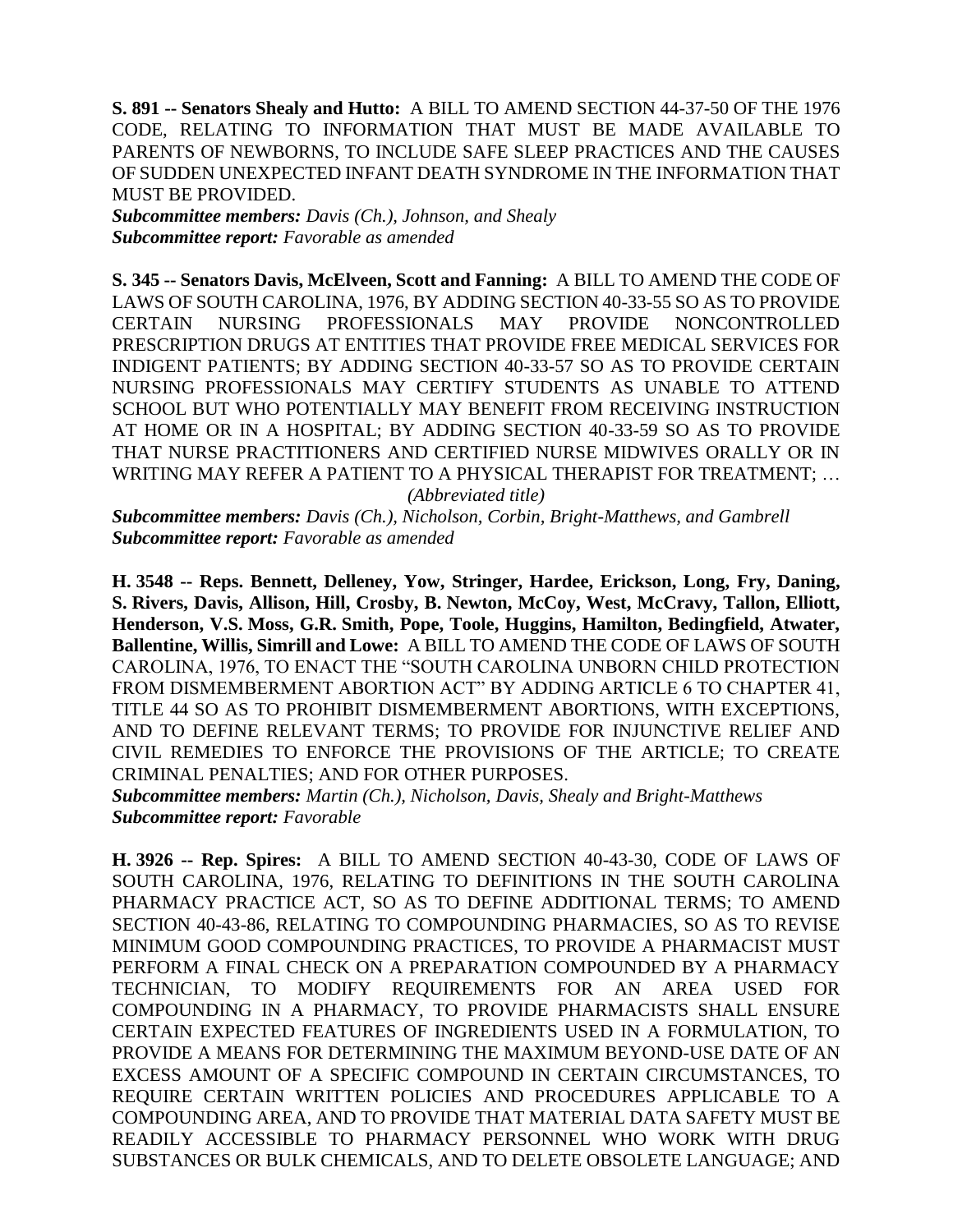**S. 891 -- Senators Shealy and Hutto:** A BILL TO AMEND SECTION 44-37-50 OF THE 1976 CODE, RELATING TO INFORMATION THAT MUST BE MADE AVAILABLE TO PARENTS OF NEWBORNS, TO INCLUDE SAFE SLEEP PRACTICES AND THE CAUSES OF SUDDEN UNEXPECTED INFANT DEATH SYNDROME IN THE INFORMATION THAT MUST BE PROVIDED.

*Subcommittee members: Davis (Ch.), Johnson, and Shealy Subcommittee report: Favorable as amended*

**S. 345 -- Senators Davis, McElveen, Scott and Fanning:** A BILL TO AMEND THE CODE OF LAWS OF SOUTH CAROLINA, 1976, BY ADDING SECTION 40-33-55 SO AS TO PROVIDE CERTAIN NURSING PROFESSIONALS MAY PROVIDE NONCONTROLLED PRESCRIPTION DRUGS AT ENTITIES THAT PROVIDE FREE MEDICAL SERVICES FOR INDIGENT PATIENTS; BY ADDING SECTION 40-33-57 SO AS TO PROVIDE CERTAIN NURSING PROFESSIONALS MAY CERTIFY STUDENTS AS UNABLE TO ATTEND SCHOOL BUT WHO POTENTIALLY MAY BENEFIT FROM RECEIVING INSTRUCTION AT HOME OR IN A HOSPITAL; BY ADDING SECTION 40-33-59 SO AS TO PROVIDE THAT NURSE PRACTITIONERS AND CERTIFIED NURSE MIDWIVES ORALLY OR IN WRITING MAY REFER A PATIENT TO A PHYSICAL THERAPIST FOR TREATMENT; …

*(Abbreviated title)* 

*Subcommittee members: Davis (Ch.), Nicholson, Corbin, Bright-Matthews, and Gambrell Subcommittee report: Favorable as amended*

**H. 3548 -- Reps. Bennett, Delleney, Yow, Stringer, Hardee, Erickson, Long, Fry, Daning, S. Rivers, Davis, Allison, Hill, Crosby, B. Newton, McCoy, West, McCravy, Tallon, Elliott, Henderson, V.S. Moss, G.R. Smith, Pope, Toole, Huggins, Hamilton, Bedingfield, Atwater, Ballentine, Willis, Simrill and Lowe:** A BILL TO AMEND THE CODE OF LAWS OF SOUTH CAROLINA, 1976, TO ENACT THE "SOUTH CAROLINA UNBORN CHILD PROTECTION FROM DISMEMBERMENT ABORTION ACT" BY ADDING ARTICLE 6 TO CHAPTER 41, TITLE 44 SO AS TO PROHIBIT DISMEMBERMENT ABORTIONS, WITH EXCEPTIONS, AND TO DEFINE RELEVANT TERMS; TO PROVIDE FOR INJUNCTIVE RELIEF AND CIVIL REMEDIES TO ENFORCE THE PROVISIONS OF THE ARTICLE; TO CREATE CRIMINAL PENALTIES; AND FOR OTHER PURPOSES.

*Subcommittee members: Martin (Ch.), Nicholson, Davis, Shealy and Bright-Matthews Subcommittee report: Favorable*

**H. 3926 -- Rep. Spires:** A BILL TO AMEND SECTION 40-43-30, CODE OF LAWS OF SOUTH CAROLINA, 1976, RELATING TO DEFINITIONS IN THE SOUTH CAROLINA PHARMACY PRACTICE ACT, SO AS TO DEFINE ADDITIONAL TERMS; TO AMEND SECTION 40-43-86, RELATING TO COMPOUNDING PHARMACIES, SO AS TO REVISE MINIMUM GOOD COMPOUNDING PRACTICES, TO PROVIDE A PHARMACIST MUST PERFORM A FINAL CHECK ON A PREPARATION COMPOUNDED BY A PHARMACY TECHNICIAN, TO MODIFY REQUIREMENTS FOR AN AREA USED FOR COMPOUNDING IN A PHARMACY, TO PROVIDE PHARMACISTS SHALL ENSURE CERTAIN EXPECTED FEATURES OF INGREDIENTS USED IN A FORMULATION, TO PROVIDE A MEANS FOR DETERMINING THE MAXIMUM BEYOND-USE DATE OF AN EXCESS AMOUNT OF A SPECIFIC COMPOUND IN CERTAIN CIRCUMSTANCES, TO REQUIRE CERTAIN WRITTEN POLICIES AND PROCEDURES APPLICABLE TO A COMPOUNDING AREA, AND TO PROVIDE THAT MATERIAL DATA SAFETY MUST BE READILY ACCESSIBLE TO PHARMACY PERSONNEL WHO WORK WITH DRUG SUBSTANCES OR BULK CHEMICALS, AND TO DELETE OBSOLETE LANGUAGE; AND